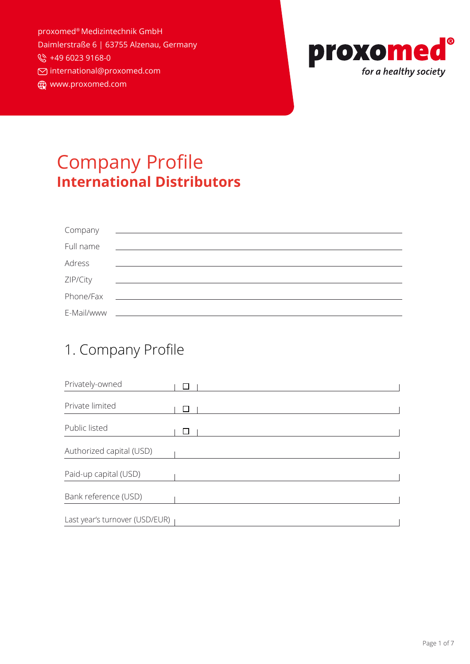proxomed® Medizintechnik GmbH Daimlerstraße 6 | 63755 Alzenau, Germany ₩ +49 6023 9168-0 international@proxomed.com www.proxomed.com



# Company Profile **International Distributors**

| Company    | <u> - Communication and Communication</u>                                                                             |
|------------|-----------------------------------------------------------------------------------------------------------------------|
| Full name  | <u> 1989 - Jan Samuel Barbara, martin di</u>                                                                          |
| Adress     |                                                                                                                       |
| ZIP/City   | <u> 1989 - Jan Sterlinger, skriuwer fan it ferstjer fan it ferstjer fan it ferstjer fan it ferstjer fan it ferstj</u> |
| Phone/Fax  | <u> 1980 - Jan Samuel Barbara, martin d</u>                                                                           |
| E-Mail/www |                                                                                                                       |

#### 1. Company Profile

| Privately-owned                |  |
|--------------------------------|--|
| Private limited                |  |
|                                |  |
| Public listed                  |  |
| Authorized capital (USD)       |  |
| Paid-up capital (USD)          |  |
| Bank reference (USD)           |  |
| Last year's turnover (USD/EUR) |  |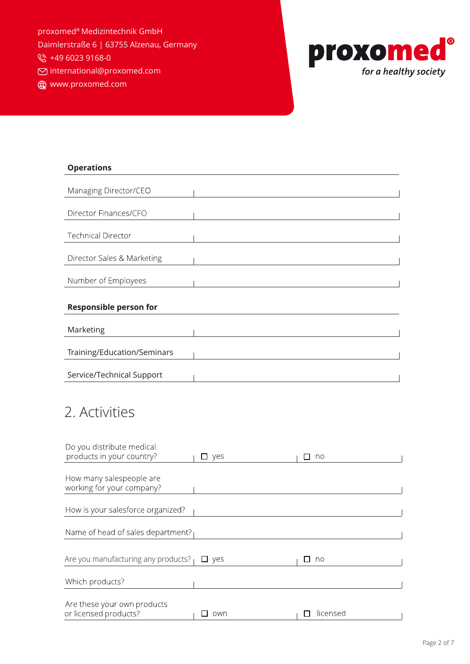proxomed® Medizintechnik GmbH Daimlerstraße 6 | 63755 Alzenau, Germany

₩ +49 6023 9168-0

international@proxomed.com

www.proxomed.com



| <b>Operations</b>             |
|-------------------------------|
|                               |
| Managing Director/CEO         |
|                               |
| Director Finances/CFO         |
|                               |
| <b>Technical Director</b>     |
|                               |
| Director Sales & Marketing    |
|                               |
| Number of Employees           |
|                               |
| <b>Responsible person for</b> |
|                               |
| Marketing                     |
|                               |
| Training/Education/Seminars   |
|                               |
| Service/Technical Support     |
|                               |

## 2. Activities

| Do you distribute medical<br>products in your country? | □ yes         | no       |
|--------------------------------------------------------|---------------|----------|
|                                                        |               |          |
| How many salespeople are                               |               |          |
| working for your company?                              |               |          |
|                                                        |               |          |
| How is your salesforce organized?                      |               |          |
|                                                        |               |          |
| Name of head of sales department?                      |               |          |
|                                                        |               |          |
| Are you manufacturing any products?                    | $\square$ yes | no       |
| Which products?                                        |               |          |
|                                                        |               |          |
| Are these your own products<br>or licensed products?   | own           | licensed |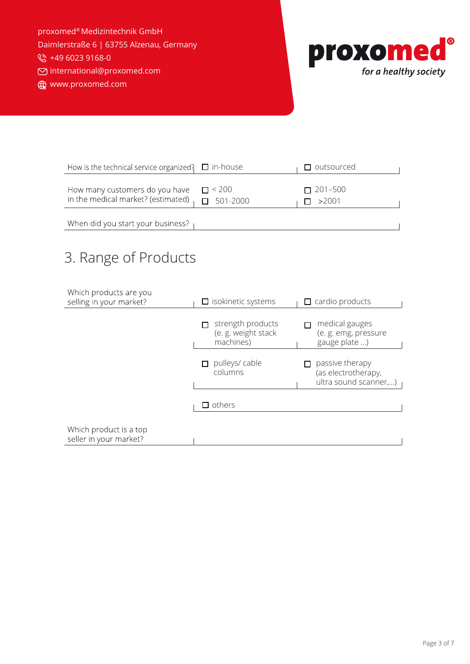proxomed® Medizintechnik GmbH Daimlerstraße 6 | 63755 Alzenau, Germany

₩ +49 6023 9168-0

international@proxomed.com

www.proxomed.com



| How is the technical service organized? $\Box$ in-house                              |                      | $\Box$ outsourced              |
|--------------------------------------------------------------------------------------|----------------------|--------------------------------|
| How many customers do you have<br>in the medical market? (estimated) $\Box$ 501-2000 | $\blacksquare$ < 200 | $\Box$ 201–500<br>$\Box$ >2001 |

When did you start your business?

## 3. Range of Products

| Which products are you<br>selling in your market? | $\Box$ isokinetic systems                             | $\Box$ cardio products                                          |  |
|---------------------------------------------------|-------------------------------------------------------|-----------------------------------------------------------------|--|
|                                                   | strength products<br>(e. g. weight stack<br>machines) | medical gauges<br>(e. g. emg, pressure<br>gauge plate )         |  |
|                                                   | pulleys/cable<br>columns                              | passive therapy<br>(as electrotherapy,<br>ultra sound scanner,) |  |
|                                                   | $\Box$ others                                         |                                                                 |  |
| Which product is a top<br>seller in your market?  |                                                       |                                                                 |  |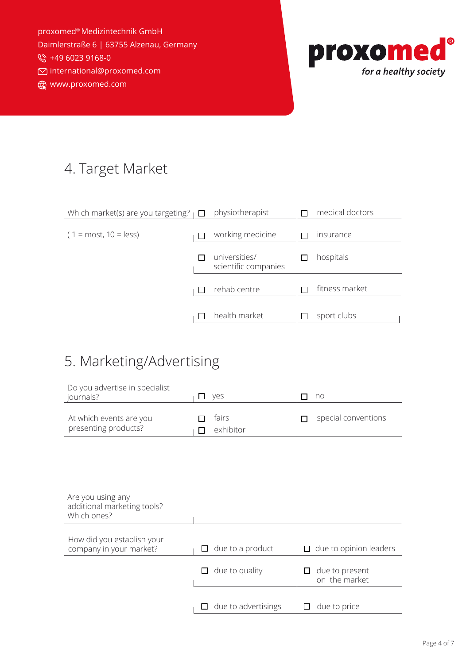proxomed® Medizintechnik GmbH Daimlerstraße 6 | 63755 Alzenau, Germany ₩ +49 6023 9168-0 international@proxomed.com

www.proxomed.com



#### 4. Target Market

| Which market(s) are you targeting? $\Box$ | physiotherapist                       | medical doctors |
|-------------------------------------------|---------------------------------------|-----------------|
| $(1 = most, 10 = less)$                   | working medicine                      | insurance       |
|                                           |                                       |                 |
|                                           | universities/<br>scientific companies | hospitals       |
|                                           | rehab centre                          | fitness market  |
|                                           | health market                         | sport clubs     |
|                                           |                                       |                 |

### 5. Marketing/Advertising

| Do you advertise in specialist<br>journals?                     | yes<br>$\sqcup$         |                     | no                              |
|-----------------------------------------------------------------|-------------------------|---------------------|---------------------------------|
| At which events are you<br>presenting products?                 | fairs<br>exhibitor<br>П |                     | special conventions             |
|                                                                 |                         |                     |                                 |
|                                                                 |                         |                     |                                 |
| Are you using any<br>additional marketing tools?<br>Which ones? |                         |                     |                                 |
| How did you establish your<br>company in your market?           | due to a product<br>П   |                     | $\Box$ due to opinion leaders   |
|                                                                 | due to quality<br>ப     |                     | due to present<br>on the market |
|                                                                 | ப                       | due to advertisings | due to price                    |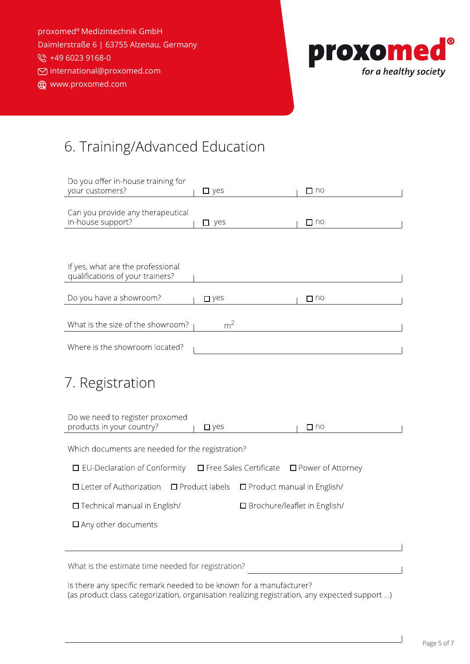proxomed® Medizintechnik GmbH Daimlerstraße 6 | 63755 Alzenau, Germany ₩ +49 6023 9168-0 international@proxomed.com www.proxomed.com



### 6. Training/Advanced Education

| Do you offer in-house training for<br>your customers?                                                                     | $\square$ yes            | $\Box$ no                      |
|---------------------------------------------------------------------------------------------------------------------------|--------------------------|--------------------------------|
| Can you provide any therapeutical<br>in-house support?                                                                    | $\square$ yes            | $\Box$ no                      |
|                                                                                                                           |                          |                                |
| If yes, what are the professional<br>qualifications of your trainers?                                                     |                          |                                |
| Do you have a showroom?                                                                                                   | $\square$ yes            | $\Box$ no                      |
| What is the size of the showroom?                                                                                         | m <sup>2</sup>           |                                |
| Where is the showroom located?                                                                                            |                          |                                |
| 7. Registration<br>Do we need to register proxomed<br>products in your country?                                           | $\n  D yes$              | $\Box$ no                      |
| Which documents are needed for the registration?                                                                          |                          |                                |
| $\Box$ EU-Declaration of Conformity                                                                                       | □ Free Sales Certificate | □ Power of Attorney            |
| $\Box$ Letter of Authorization                                                                                            | $\Box$ Product labels    | □ Product manual in English/   |
| □ Technical manual in English/                                                                                            |                          | □ Brochure/leaflet in English/ |
| $\Box$ Any other documents                                                                                                |                          |                                |
|                                                                                                                           |                          |                                |
| What is the estimate time needed for registration?<br>le there any specific remark peodod to be known for a manufacturer? |                          |                                |

Is there any specific remark needed to be known for a manufacturer? (as product class categorization, organisation realizing registration, any expected support ...)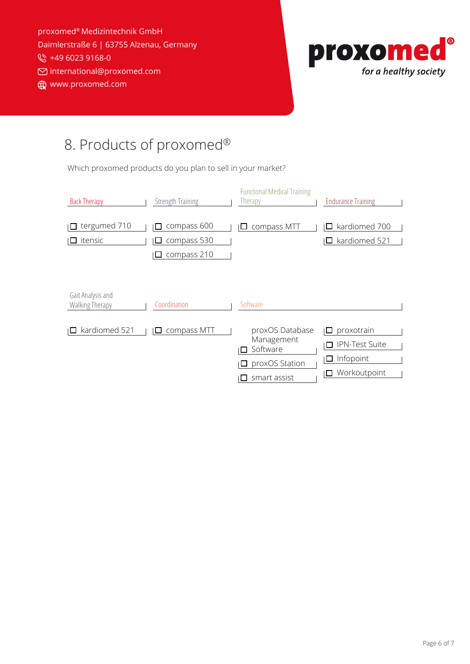proxomed® Medizintechnik GmbH Daimlerstraße 6 | 63755 Alzenau, Germany ₩ +49 6023 9168-0 international@proxomed.com www.proxomed.com



## 8. Products of proxomed®

Which proxomed products do you plan to sell in your market?

| <b>Back Therapy</b>                  | <b>Strength Training</b>                            | <b>Functional Medical Training</b><br>Therapy                               | <b>Endurance Training</b>                                                  |
|--------------------------------------|-----------------------------------------------------|-----------------------------------------------------------------------------|----------------------------------------------------------------------------|
| tergumed 710<br>itensic              | compass 600<br>П<br>compass 530<br>compass 210<br>ப | compass MTT                                                                 | kardiomed 700<br>kardiomed 521                                             |
| Gait Analysis and<br>Walking Therapy | Coordination                                        | Software                                                                    |                                                                            |
| kardiomed 521                        | compass MTT                                         | proxOS Database<br>Management<br>Software<br>proxOS Station<br>smart assist | proxotrain<br><b>IPN-Test Suite</b><br>□<br>Infopoint<br>ப<br>Workoutpoint |